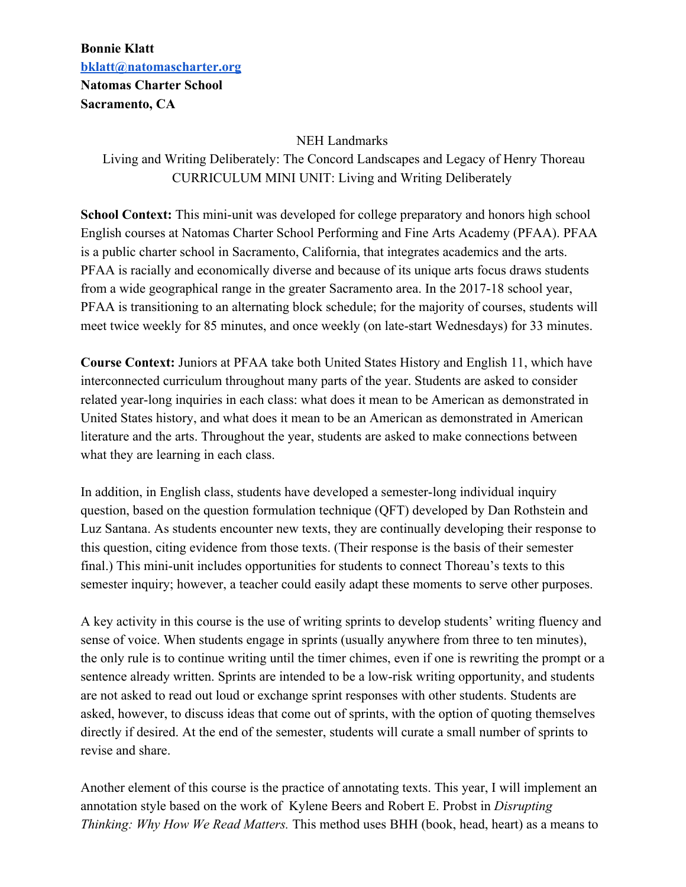## **Bonnie Klatt [bklatt@natomascharter.org](mailto:bklatt@natomascharter.org) Natomas Charter School Sacramento, CA**

## NEH Landmarks

Living and Writing Deliberately: The Concord Landscapes and Legacy of Henry Thoreau CURRICULUM MINI UNIT: Living and Writing Deliberately

**School Context:** This mini-unit was developed for college preparatory and honors high school English courses at Natomas Charter School Performing and Fine Arts Academy (PFAA). PFAA is a public charter school in Sacramento, California, that integrates academics and the arts. PFAA is racially and economically diverse and because of its unique arts focus draws students from a wide geographical range in the greater Sacramento area. In the 2017-18 school year, PFAA is transitioning to an alternating block schedule; for the majority of courses, students will meet twice weekly for 85 minutes, and once weekly (on late-start Wednesdays) for 33 minutes.

**Course Context:** Juniors at PFAA take both United States History and English 11, which have interconnected curriculum throughout many parts of the year. Students are asked to consider related year-long inquiries in each class: what does it mean to be American as demonstrated in United States history, and what does it mean to be an American as demonstrated in American literature and the arts. Throughout the year, students are asked to make connections between what they are learning in each class.

In addition, in English class, students have developed a semester-long individual inquiry question, based on the question formulation technique (QFT) developed by Dan Rothstein and Luz Santana. As students encounter new texts, they are continually developing their response to this question, citing evidence from those texts. (Their response is the basis of their semester final.) This mini-unit includes opportunities for students to connect Thoreau's texts to this semester inquiry; however, a teacher could easily adapt these moments to serve other purposes.

A key activity in this course is the use of writing sprints to develop students' writing fluency and sense of voice. When students engage in sprints (usually anywhere from three to ten minutes), the only rule is to continue writing until the timer chimes, even if one is rewriting the prompt or a sentence already written. Sprints are intended to be a low-risk writing opportunity, and students are not asked to read out loud or exchange sprint responses with other students. Students are asked, however, to discuss ideas that come out of sprints, with the option of quoting themselves directly if desired. At the end of the semester, students will curate a small number of sprints to revise and share.

Another element of this course is the practice of annotating texts. This year, I will implement an annotation style based on the work of Kylene Beers and Robert E. Probst in *Disrupting Thinking: Why How We Read Matters.* This method uses BHH (book, head, heart) as a means to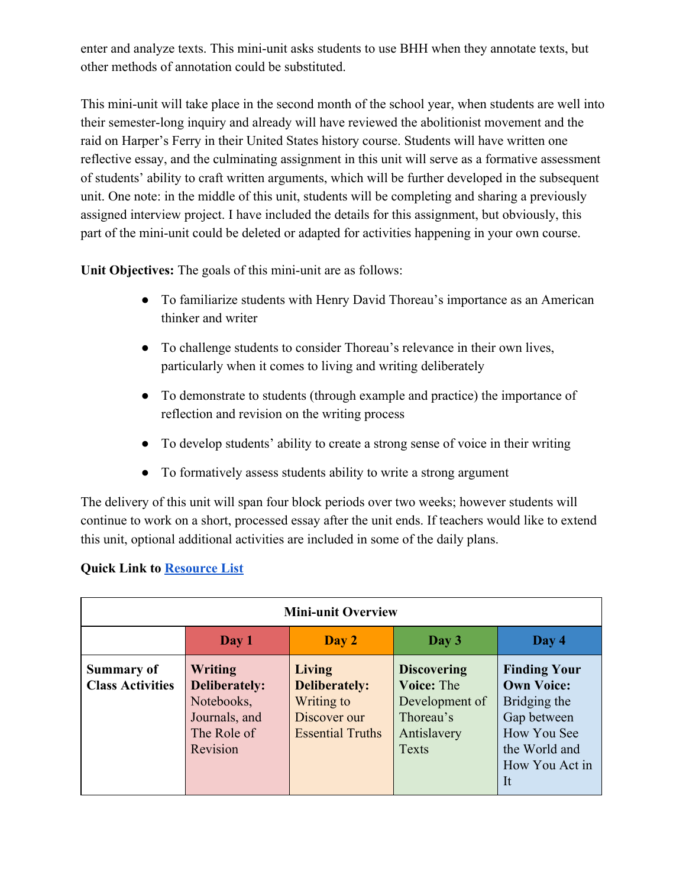enter and analyze texts. This mini-unit asks students to use BHH when they annotate texts, but other methods of annotation could be substituted.

This mini-unit will take place in the second month of the school year, when students are well into their semester-long inquiry and already will have reviewed the abolitionist movement and the raid on Harper's Ferry in their United States history course. Students will have written one reflective essay, and the culminating assignment in this unit will serve as a formative assessment of students' ability to craft written arguments, which will be further developed in the subsequent unit. One note: in the middle of this unit, students will be completing and sharing a previously assigned interview project. I have included the details for this assignment, but obviously, this part of the mini-unit could be deleted or adapted for activities happening in your own course.

**Unit Objectives:** The goals of this mini-unit are as follows:

- To familiarize students with Henry David Thoreau's importance as an American thinker and writer
- To challenge students to consider Thoreau's relevance in their own lives, particularly when it comes to living and writing deliberately
- To demonstrate to students (through example and practice) the importance of reflection and revision on the writing process
- To develop students' ability to create a strong sense of voice in their writing
- To formatively assess students ability to write a strong argument

The delivery of this unit will span four block periods over two weeks; however students will continue to work on a short, processed essay after the unit ends. If teachers would like to extend this unit, optional additional activities are included in some of the daily plans.

## **Quick Link to [Resource List](#page-7-0)**

| <b>Mini-unit Overview</b>                    |                                                                                                  |                                                                                                |                                                                                                       |                                                                                                                                 |
|----------------------------------------------|--------------------------------------------------------------------------------------------------|------------------------------------------------------------------------------------------------|-------------------------------------------------------------------------------------------------------|---------------------------------------------------------------------------------------------------------------------------------|
|                                              | Day 1                                                                                            | Day 2                                                                                          | Day 3                                                                                                 | Day 4                                                                                                                           |
| <b>Summary of</b><br><b>Class Activities</b> | <b>Writing</b><br><b>Deliberately:</b><br>Notebooks,<br>Journals, and<br>The Role of<br>Revision | <b>Living</b><br><b>Deliberately:</b><br>Writing to<br>Discover our<br><b>Essential Truths</b> | <b>Discovering</b><br><b>Voice: The</b><br>Development of<br>Thoreau's<br>Antislavery<br><b>Texts</b> | <b>Finding Your</b><br><b>Own Voice:</b><br>Bridging the<br>Gap between<br>How You See<br>the World and<br>How You Act in<br>It |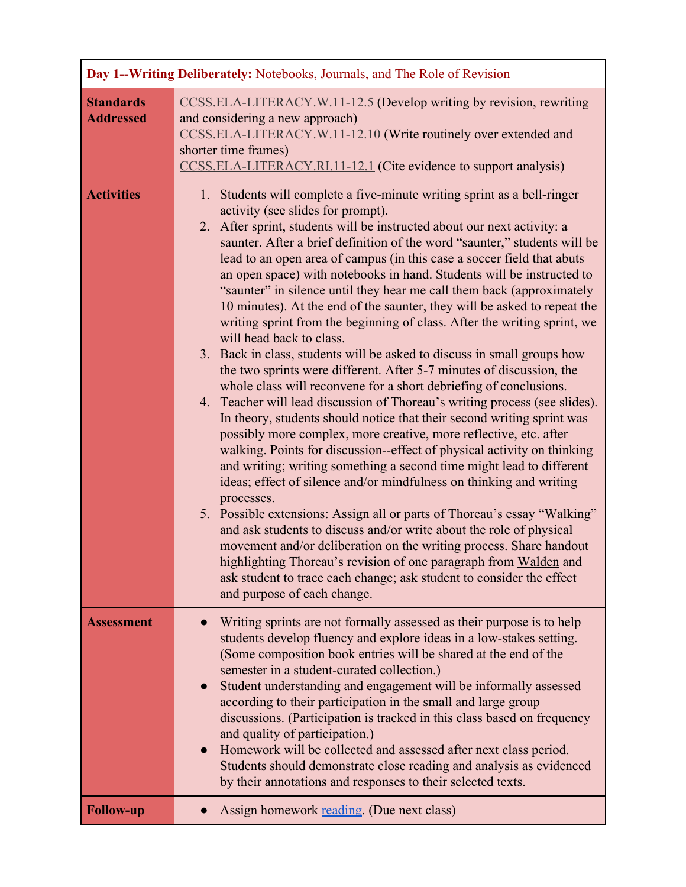| Day 1--Writing Deliberately: Notebooks, Journals, and The Role of Revision |                                                                                                                                                                                                                                                                                                                                                                                                                                                                                                                                                                                                                                                                                                                                                                                                                                                                                                                                                                                                                                                                                                                                                                                                                                                                                                                                                                                                                                                                                                                                                                                                                                                                                                                                                                                       |
|----------------------------------------------------------------------------|---------------------------------------------------------------------------------------------------------------------------------------------------------------------------------------------------------------------------------------------------------------------------------------------------------------------------------------------------------------------------------------------------------------------------------------------------------------------------------------------------------------------------------------------------------------------------------------------------------------------------------------------------------------------------------------------------------------------------------------------------------------------------------------------------------------------------------------------------------------------------------------------------------------------------------------------------------------------------------------------------------------------------------------------------------------------------------------------------------------------------------------------------------------------------------------------------------------------------------------------------------------------------------------------------------------------------------------------------------------------------------------------------------------------------------------------------------------------------------------------------------------------------------------------------------------------------------------------------------------------------------------------------------------------------------------------------------------------------------------------------------------------------------------|
| <b>Standards</b><br><b>Addressed</b>                                       | CCSS.ELA-LITERACY.W.11-12.5 (Develop writing by revision, rewriting<br>and considering a new approach)<br>CCSS.ELA-LITERACY.W.11-12.10 (Write routinely over extended and<br>shorter time frames)<br>CCSS.ELA-LITERACY.RI.11-12.1 (Cite evidence to support analysis)                                                                                                                                                                                                                                                                                                                                                                                                                                                                                                                                                                                                                                                                                                                                                                                                                                                                                                                                                                                                                                                                                                                                                                                                                                                                                                                                                                                                                                                                                                                 |
| <b>Activities</b>                                                          | 1. Students will complete a five-minute writing sprint as a bell-ringer<br>activity (see slides for prompt).<br>2. After sprint, students will be instructed about our next activity: a<br>saunter. After a brief definition of the word "saunter," students will be<br>lead to an open area of campus (in this case a soccer field that abuts<br>an open space) with notebooks in hand. Students will be instructed to<br>"saunter" in silence until they hear me call them back (approximately<br>10 minutes). At the end of the saunter, they will be asked to repeat the<br>writing sprint from the beginning of class. After the writing sprint, we<br>will head back to class.<br>3. Back in class, students will be asked to discuss in small groups how<br>the two sprints were different. After 5-7 minutes of discussion, the<br>whole class will reconvene for a short debriefing of conclusions.<br>4. Teacher will lead discussion of Thoreau's writing process (see slides).<br>In theory, students should notice that their second writing sprint was<br>possibly more complex, more creative, more reflective, etc. after<br>walking. Points for discussion--effect of physical activity on thinking<br>and writing; writing something a second time might lead to different<br>ideas; effect of silence and/or mindfulness on thinking and writing<br>processes.<br>5. Possible extensions: Assign all or parts of Thoreau's essay "Walking"<br>and ask students to discuss and/or write about the role of physical<br>movement and/or deliberation on the writing process. Share handout<br>highlighting Thoreau's revision of one paragraph from Walden and<br>ask student to trace each change; ask student to consider the effect<br>and purpose of each change. |
| <b>Assessment</b>                                                          | Writing sprints are not formally assessed as their purpose is to help<br>students develop fluency and explore ideas in a low-stakes setting.<br>(Some composition book entries will be shared at the end of the<br>semester in a student-curated collection.)<br>Student understanding and engagement will be informally assessed<br>according to their participation in the small and large group<br>discussions. (Participation is tracked in this class based on frequency<br>and quality of participation.)<br>Homework will be collected and assessed after next class period.<br>$\bullet$<br>Students should demonstrate close reading and analysis as evidenced<br>by their annotations and responses to their selected texts.                                                                                                                                                                                                                                                                                                                                                                                                                                                                                                                                                                                                                                                                                                                                                                                                                                                                                                                                                                                                                                                |
| <b>Follow-up</b>                                                           | Assign homework reading. (Due next class)                                                                                                                                                                                                                                                                                                                                                                                                                                                                                                                                                                                                                                                                                                                                                                                                                                                                                                                                                                                                                                                                                                                                                                                                                                                                                                                                                                                                                                                                                                                                                                                                                                                                                                                                             |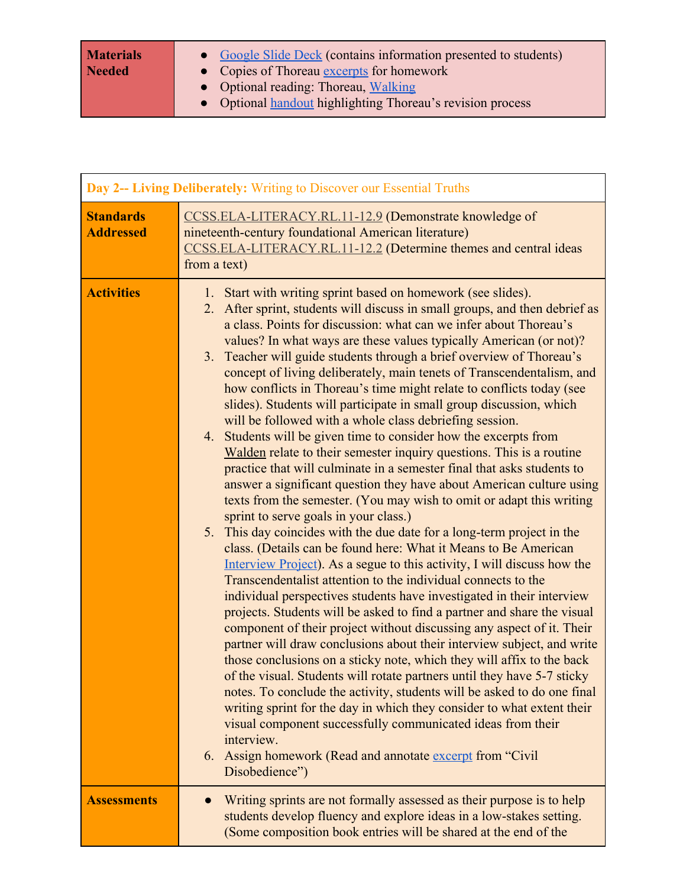| <b>Materials</b><br><b>Needed</b> | • Google Slide Deck (contains information presented to students)<br>• Copies of Thoreau excerpts for homework |
|-----------------------------------|---------------------------------------------------------------------------------------------------------------|
|                                   | • Optional reading: Thoreau, Walking                                                                          |
|                                   | • Optional handout highlighting Thoreau's revision process                                                    |

| Day 2-- Living Deliberately: Writing to Discover our Essential Truths |                                                                                                                                                                                                                                                                                                                                                                                                                                                                                                                                                                                                                                                                                                                                                                                                                                                                                                                                                                                                                                                                                                                                                                                                                                                                                                                                                                                                                                                                                                                                                                                                                                                                                                                                                                                                                                                                                                                                                                                                                                                                                                                                                    |
|-----------------------------------------------------------------------|----------------------------------------------------------------------------------------------------------------------------------------------------------------------------------------------------------------------------------------------------------------------------------------------------------------------------------------------------------------------------------------------------------------------------------------------------------------------------------------------------------------------------------------------------------------------------------------------------------------------------------------------------------------------------------------------------------------------------------------------------------------------------------------------------------------------------------------------------------------------------------------------------------------------------------------------------------------------------------------------------------------------------------------------------------------------------------------------------------------------------------------------------------------------------------------------------------------------------------------------------------------------------------------------------------------------------------------------------------------------------------------------------------------------------------------------------------------------------------------------------------------------------------------------------------------------------------------------------------------------------------------------------------------------------------------------------------------------------------------------------------------------------------------------------------------------------------------------------------------------------------------------------------------------------------------------------------------------------------------------------------------------------------------------------------------------------------------------------------------------------------------------------|
| <b>Standards</b><br><b>Addressed</b>                                  | CCSS.ELA-LITERACY.RL.11-12.9 (Demonstrate knowledge of<br>nineteenth-century foundational American literature)<br>CCSS.ELA-LITERACY.RL.11-12.2 (Determine themes and central ideas<br>from a text)                                                                                                                                                                                                                                                                                                                                                                                                                                                                                                                                                                                                                                                                                                                                                                                                                                                                                                                                                                                                                                                                                                                                                                                                                                                                                                                                                                                                                                                                                                                                                                                                                                                                                                                                                                                                                                                                                                                                                 |
| <b>Activities</b>                                                     | Start with writing sprint based on homework (see slides).<br>1.<br>2. After sprint, students will discuss in small groups, and then debrief as<br>a class. Points for discussion: what can we infer about Thoreau's<br>values? In what ways are these values typically American (or not)?<br>Teacher will guide students through a brief overview of Thoreau's<br>3.<br>concept of living deliberately, main tenets of Transcendentalism, and<br>how conflicts in Thoreau's time might relate to conflicts today (see<br>slides). Students will participate in small group discussion, which<br>will be followed with a whole class debriefing session.<br>4. Students will be given time to consider how the excerpts from<br>Walden relate to their semester inquiry questions. This is a routine<br>practice that will culminate in a semester final that asks students to<br>answer a significant question they have about American culture using<br>texts from the semester. (You may wish to omit or adapt this writing<br>sprint to serve goals in your class.)<br>This day coincides with the due date for a long-term project in the<br>5.<br>class. (Details can be found here: What it Means to Be American<br>Interview Project). As a segue to this activity, I will discuss how the<br>Transcendentalist attention to the individual connects to the<br>individual perspectives students have investigated in their interview<br>projects. Students will be asked to find a partner and share the visual<br>component of their project without discussing any aspect of it. Their<br>partner will draw conclusions about their interview subject, and write<br>those conclusions on a sticky note, which they will affix to the back<br>of the visual. Students will rotate partners until they have 5-7 sticky<br>notes. To conclude the activity, students will be asked to do one final<br>writing sprint for the day in which they consider to what extent their<br>visual component successfully communicated ideas from their<br>interview.<br>Assign homework (Read and annotate excerpt from "Civil"<br>6.<br>Disobedience") |
| <b>Assessments</b>                                                    | Writing sprints are not formally assessed as their purpose is to help<br>students develop fluency and explore ideas in a low-stakes setting.<br>(Some composition book entries will be shared at the end of the                                                                                                                                                                                                                                                                                                                                                                                                                                                                                                                                                                                                                                                                                                                                                                                                                                                                                                                                                                                                                                                                                                                                                                                                                                                                                                                                                                                                                                                                                                                                                                                                                                                                                                                                                                                                                                                                                                                                    |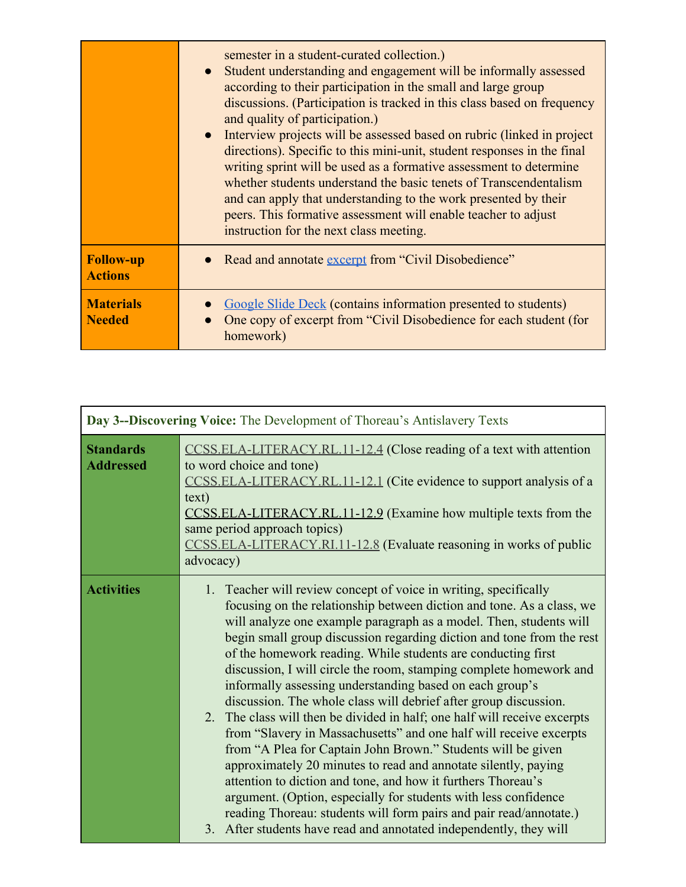|                                    | semester in a student-curated collection.)<br>• Student understanding and engagement will be informally assessed<br>according to their participation in the small and large group<br>discussions. (Participation is tracked in this class based on frequency<br>and quality of participation.)<br>• Interview projects will be assessed based on rubric (linked in project<br>directions). Specific to this mini-unit, student responses in the final<br>writing sprint will be used as a formative assessment to determine<br>whether students understand the basic tenets of Transcendentalism<br>and can apply that understanding to the work presented by their<br>peers. This formative assessment will enable teacher to adjust<br>instruction for the next class meeting. |
|------------------------------------|----------------------------------------------------------------------------------------------------------------------------------------------------------------------------------------------------------------------------------------------------------------------------------------------------------------------------------------------------------------------------------------------------------------------------------------------------------------------------------------------------------------------------------------------------------------------------------------------------------------------------------------------------------------------------------------------------------------------------------------------------------------------------------|
| <b>Follow-up</b><br><b>Actions</b> | • Read and annotate excerpt from "Civil Disobedience"                                                                                                                                                                                                                                                                                                                                                                                                                                                                                                                                                                                                                                                                                                                            |
| <b>Materials</b><br><b>Needed</b>  | Google Slide Deck (contains information presented to students)<br>One copy of excerpt from "Civil Disobedience for each student (for<br>homework)                                                                                                                                                                                                                                                                                                                                                                                                                                                                                                                                                                                                                                |

| Day 3--Discovering Voice: The Development of Thoreau's Antislavery Texts |                                                                                                                                                                                                                                                                                                                                                                                                                                                                                                                                                                                                                                                                                                                                                                                                                                                                                                                                                                                                                                                                                                                                    |
|--------------------------------------------------------------------------|------------------------------------------------------------------------------------------------------------------------------------------------------------------------------------------------------------------------------------------------------------------------------------------------------------------------------------------------------------------------------------------------------------------------------------------------------------------------------------------------------------------------------------------------------------------------------------------------------------------------------------------------------------------------------------------------------------------------------------------------------------------------------------------------------------------------------------------------------------------------------------------------------------------------------------------------------------------------------------------------------------------------------------------------------------------------------------------------------------------------------------|
| <b>Standards</b><br><b>Addressed</b>                                     | CCSS.ELA-LITERACY.RL.11-12.4 (Close reading of a text with attention<br>to word choice and tone)<br>CCSS.ELA-LITERACY.RL.11-12.1 (Cite evidence to support analysis of a<br>text)<br>CCSS.ELA-LITERACY.RL.11-12.9 (Examine how multiple texts from the<br>same period approach topics)<br>CCSS.ELA-LITERACY.RI.11-12.8 (Evaluate reasoning in works of public<br>advocacy)                                                                                                                                                                                                                                                                                                                                                                                                                                                                                                                                                                                                                                                                                                                                                         |
| <b>Activities</b>                                                        | 1. Teacher will review concept of voice in writing, specifically<br>focusing on the relationship between diction and tone. As a class, we<br>will analyze one example paragraph as a model. Then, students will<br>begin small group discussion regarding diction and tone from the rest<br>of the homework reading. While students are conducting first<br>discussion, I will circle the room, stamping complete homework and<br>informally assessing understanding based on each group's<br>discussion. The whole class will debrief after group discussion.<br>2. The class will then be divided in half; one half will receive excerpts<br>from "Slavery in Massachusetts" and one half will receive excerpts<br>from "A Plea for Captain John Brown." Students will be given<br>approximately 20 minutes to read and annotate silently, paying<br>attention to diction and tone, and how it furthers Thoreau's<br>argument. (Option, especially for students with less confidence<br>reading Thoreau: students will form pairs and pair read/annotate.)<br>3. After students have read and annotated independently, they will |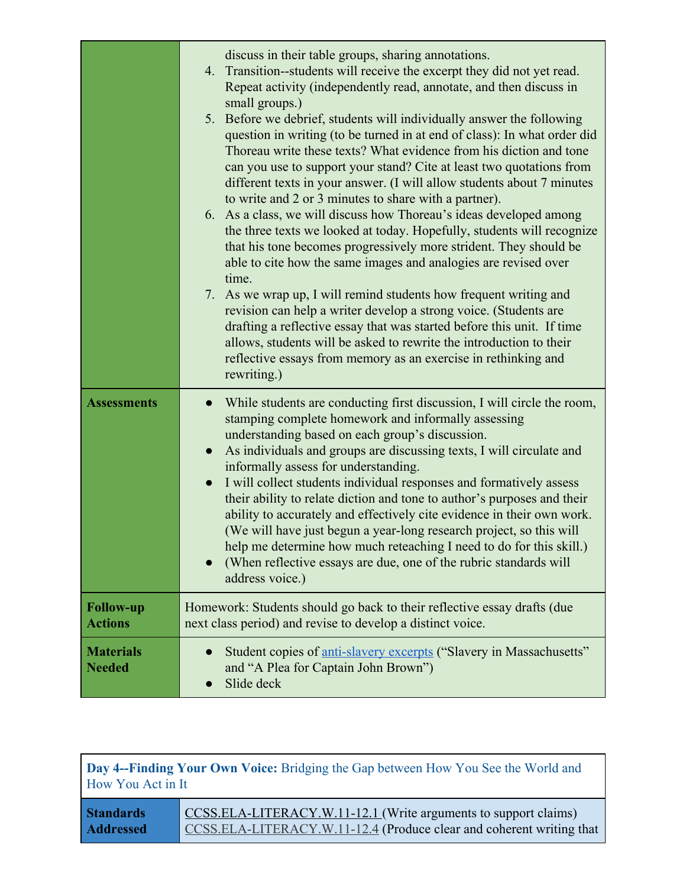|                                    | discuss in their table groups, sharing annotations.<br>4. Transition--students will receive the excerpt they did not yet read.<br>Repeat activity (independently read, annotate, and then discuss in<br>small groups.)<br>5. Before we debrief, students will individually answer the following<br>question in writing (to be turned in at end of class): In what order did<br>Thoreau write these texts? What evidence from his diction and tone<br>can you use to support your stand? Cite at least two quotations from<br>different texts in your answer. (I will allow students about 7 minutes<br>to write and 2 or 3 minutes to share with a partner).<br>6. As a class, we will discuss how Thoreau's ideas developed among<br>the three texts we looked at today. Hopefully, students will recognize<br>that his tone becomes progressively more strident. They should be<br>able to cite how the same images and analogies are revised over<br>time.<br>7. As we wrap up, I will remind students how frequent writing and<br>revision can help a writer develop a strong voice. (Students are<br>drafting a reflective essay that was started before this unit. If time<br>allows, students will be asked to rewrite the introduction to their<br>reflective essays from memory as an exercise in rethinking and<br>rewriting.) |
|------------------------------------|------------------------------------------------------------------------------------------------------------------------------------------------------------------------------------------------------------------------------------------------------------------------------------------------------------------------------------------------------------------------------------------------------------------------------------------------------------------------------------------------------------------------------------------------------------------------------------------------------------------------------------------------------------------------------------------------------------------------------------------------------------------------------------------------------------------------------------------------------------------------------------------------------------------------------------------------------------------------------------------------------------------------------------------------------------------------------------------------------------------------------------------------------------------------------------------------------------------------------------------------------------------------------------------------------------------------------------------|
| <b>Assessments</b>                 | While students are conducting first discussion, I will circle the room,<br>stamping complete homework and informally assessing<br>understanding based on each group's discussion.<br>As individuals and groups are discussing texts, I will circulate and<br>$\bullet$<br>informally assess for understanding.<br>I will collect students individual responses and formatively assess<br>$\bullet$<br>their ability to relate diction and tone to author's purposes and their<br>ability to accurately and effectively cite evidence in their own work.<br>(We will have just begun a year-long research project, so this will<br>help me determine how much reteaching I need to do for this skill.)<br>(When reflective essays are due, one of the rubric standards will<br>address voice.)                                                                                                                                                                                                                                                                                                                                                                                                                                                                                                                                            |
| <b>Follow-up</b><br><b>Actions</b> | Homework: Students should go back to their reflective essay drafts (due<br>next class period) and revise to develop a distinct voice.                                                                                                                                                                                                                                                                                                                                                                                                                                                                                                                                                                                                                                                                                                                                                                                                                                                                                                                                                                                                                                                                                                                                                                                                    |
| <b>Materials</b><br><b>Needed</b>  | Student copies of anti-slavery excerpts ("Slavery in Massachusetts"<br>and "A Plea for Captain John Brown")<br>Slide deck                                                                                                                                                                                                                                                                                                                                                                                                                                                                                                                                                                                                                                                                                                                                                                                                                                                                                                                                                                                                                                                                                                                                                                                                                |

**Day 4--Finding Your Own Voice:** Bridging the Gap between How You See the World and How You Act in It

**Standards Addressed** [CCSS.ELA-LITERACY.W.11-12.1](http://www.corestandards.org/ELA-Literacy/W/11-12/1/) (Write arguments to support claims) [CCSS.ELA-LITERACY.W.11-12.4](http://www.corestandards.org/ELA-Literacy/W/11-12/4/) (Produce clear and coherent writing that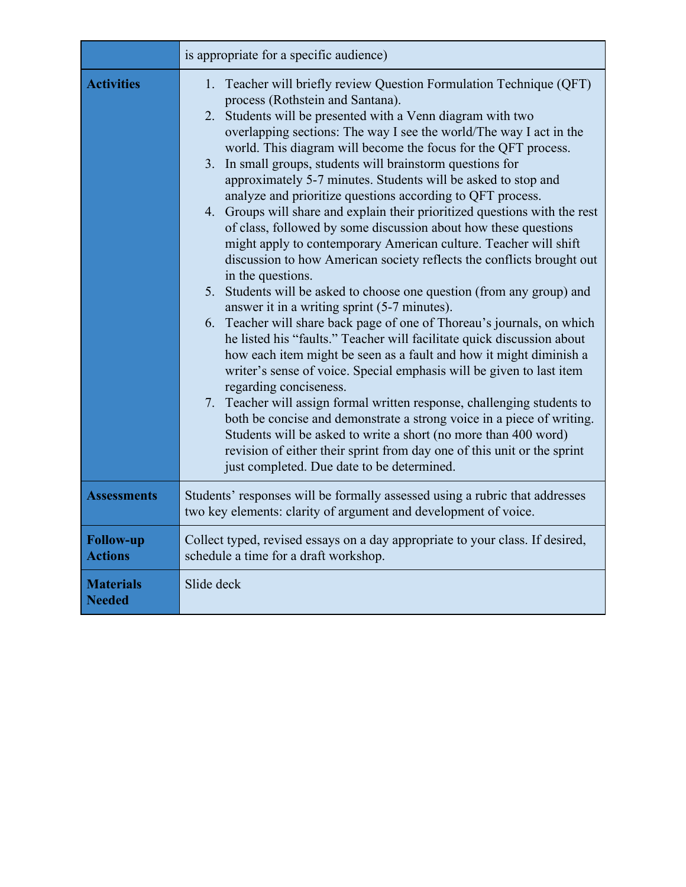|                                    | is appropriate for a specific audience)                                                                                                                                                                                                                                                                                                                                                                                                                                                                                                                                                                                                                                                                                                                                                                                                                                                                                                                                                                                                                                                                                                                                                                                                                                                                                                                                                                                                                                                                                                                                                                                                  |
|------------------------------------|------------------------------------------------------------------------------------------------------------------------------------------------------------------------------------------------------------------------------------------------------------------------------------------------------------------------------------------------------------------------------------------------------------------------------------------------------------------------------------------------------------------------------------------------------------------------------------------------------------------------------------------------------------------------------------------------------------------------------------------------------------------------------------------------------------------------------------------------------------------------------------------------------------------------------------------------------------------------------------------------------------------------------------------------------------------------------------------------------------------------------------------------------------------------------------------------------------------------------------------------------------------------------------------------------------------------------------------------------------------------------------------------------------------------------------------------------------------------------------------------------------------------------------------------------------------------------------------------------------------------------------------|
| <b>Activities</b>                  | Teacher will briefly review Question Formulation Technique (QFT)<br>1.<br>process (Rothstein and Santana).<br>2. Students will be presented with a Venn diagram with two<br>overlapping sections: The way I see the world/The way I act in the<br>world. This diagram will become the focus for the QFT process.<br>3. In small groups, students will brainstorm questions for<br>approximately 5-7 minutes. Students will be asked to stop and<br>analyze and prioritize questions according to QFT process.<br>4. Groups will share and explain their prioritized questions with the rest<br>of class, followed by some discussion about how these questions<br>might apply to contemporary American culture. Teacher will shift<br>discussion to how American society reflects the conflicts brought out<br>in the questions.<br>5. Students will be asked to choose one question (from any group) and<br>answer it in a writing sprint (5-7 minutes).<br>Teacher will share back page of one of Thoreau's journals, on which<br>6.<br>he listed his "faults." Teacher will facilitate quick discussion about<br>how each item might be seen as a fault and how it might diminish a<br>writer's sense of voice. Special emphasis will be given to last item<br>regarding conciseness.<br>7. Teacher will assign formal written response, challenging students to<br>both be concise and demonstrate a strong voice in a piece of writing.<br>Students will be asked to write a short (no more than 400 word)<br>revision of either their sprint from day one of this unit or the sprint<br>just completed. Due date to be determined. |
| <b>Assessments</b>                 | Students' responses will be formally assessed using a rubric that addresses<br>two key elements: clarity of argument and development of voice.                                                                                                                                                                                                                                                                                                                                                                                                                                                                                                                                                                                                                                                                                                                                                                                                                                                                                                                                                                                                                                                                                                                                                                                                                                                                                                                                                                                                                                                                                           |
| <b>Follow-up</b><br><b>Actions</b> | Collect typed, revised essays on a day appropriate to your class. If desired,<br>schedule a time for a draft workshop.                                                                                                                                                                                                                                                                                                                                                                                                                                                                                                                                                                                                                                                                                                                                                                                                                                                                                                                                                                                                                                                                                                                                                                                                                                                                                                                                                                                                                                                                                                                   |
| <b>Materials</b><br><b>Needed</b>  | Slide deck                                                                                                                                                                                                                                                                                                                                                                                                                                                                                                                                                                                                                                                                                                                                                                                                                                                                                                                                                                                                                                                                                                                                                                                                                                                                                                                                                                                                                                                                                                                                                                                                                               |